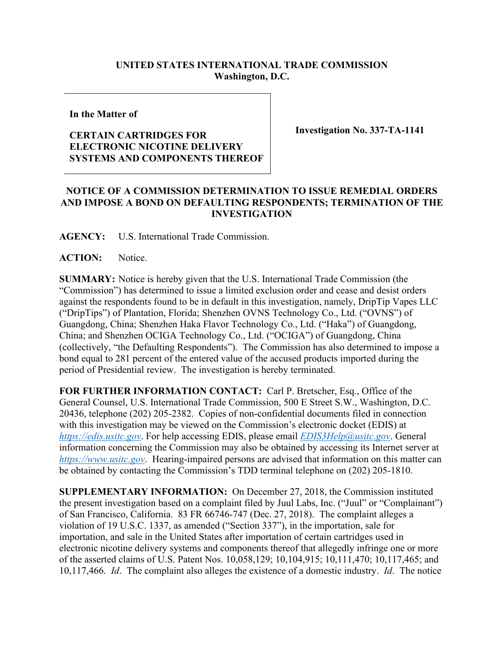## **UNITED STATES INTERNATIONAL TRADE COMMISSION Washington, D.C.**

**In the Matter of**

## **CERTAIN CARTRIDGES FOR ELECTRONIC NICOTINE DELIVERY SYSTEMS AND COMPONENTS THEREOF**

**Investigation No. 337-TA-1141**

## **NOTICE OF A COMMISSION DETERMINATION TO ISSUE REMEDIAL ORDERS AND IMPOSE A BOND ON DEFAULTING RESPONDENTS; TERMINATION OF THE INVESTIGATION**

**AGENCY:** U.S. International Trade Commission.

**ACTION:** Notice.

**SUMMARY:** Notice is hereby given that the U.S. International Trade Commission (the "Commission") has determined to issue a limited exclusion order and cease and desist orders against the respondents found to be in default in this investigation, namely, DripTip Vapes LLC ("DripTips") of Plantation, Florida; Shenzhen OVNS Technology Co., Ltd. ("OVNS") of Guangdong, China; Shenzhen Haka Flavor Technology Co., Ltd. ("Haka") of Guangdong, China; and Shenzhen OCIGA Technology Co., Ltd. ("OCIGA") of Guangdong, China (collectively, "the Defaulting Respondents"). The Commission has also determined to impose a bond equal to 281 percent of the entered value of the accused products imported during the period of Presidential review. The investigation is hereby terminated.

**FOR FURTHER INFORMATION CONTACT:** Carl P. Bretscher, Esq., Office of the General Counsel, U.S. International Trade Commission, 500 E Street S.W., Washington, D.C. 20436, telephone (202) 205-2382. Copies of non-confidential documents filed in connection with this investigation may be viewed on the Commission's electronic docket (EDIS) at *[https://edis.usitc.gov](https://edis.usitc.gov/)*. For help accessing EDIS, please email *[EDIS3Help@usitc.gov](mailto:EDIS3Help@usitc.gov)*. General information concerning the Commission may also be obtained by accessing its Internet server at *[https://www.usitc.gov](https://www.usitc.gov/)*. Hearing-impaired persons are advised that information on this matter can be obtained by contacting the Commission's TDD terminal telephone on (202) 205-1810.

**SUPPLEMENTARY INFORMATION:** On December 27, 2018, the Commission instituted the present investigation based on a complaint filed by Juul Labs, Inc. ("Juul" or "Complainant") of San Francisco, California. 83 FR 66746-747 (Dec. 27, 2018). The complaint alleges a violation of 19 U.S.C. 1337, as amended ("Section 337"), in the importation, sale for importation, and sale in the United States after importation of certain cartridges used in electronic nicotine delivery systems and components thereof that allegedly infringe one or more of the asserted claims of U.S. Patent Nos. 10,058,129; 10,104,915; 10,111,470; 10,117,465; and 10,117,466. *Id*. The complaint also alleges the existence of a domestic industry. *Id*. The notice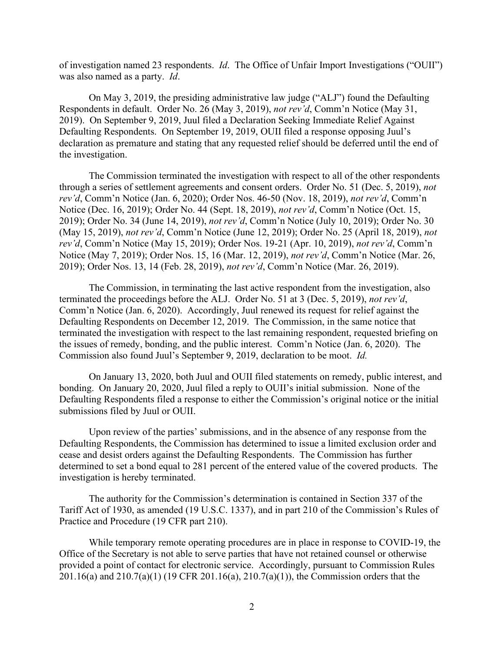of investigation named 23 respondents. *Id*. The Office of Unfair Import Investigations ("OUII") was also named as a party. *Id*.

On May 3, 2019, the presiding administrative law judge ("ALJ") found the Defaulting Respondents in default. Order No. 26 (May 3, 2019), *not rev'd*, Comm'n Notice (May 31, 2019). On September 9, 2019, Juul filed a Declaration Seeking Immediate Relief Against Defaulting Respondents. On September 19, 2019, OUII filed a response opposing Juul's declaration as premature and stating that any requested relief should be deferred until the end of the investigation.

The Commission terminated the investigation with respect to all of the other respondents through a series of settlement agreements and consent orders. Order No. 51 (Dec. 5, 2019), *not rev'd*, Comm'n Notice (Jan. 6, 2020); Order Nos. 46-50 (Nov. 18, 2019), *not rev'd*, Comm'n Notice (Dec. 16, 2019); Order No. 44 (Sept. 18, 2019), *not rev'd*, Comm'n Notice (Oct. 15, 2019); Order No. 34 (June 14, 2019), *not rev'd*, Comm'n Notice (July 10, 2019); Order No. 30 (May 15, 2019), *not rev'd*, Comm'n Notice (June 12, 2019); Order No. 25 (April 18, 2019), *not rev'd*, Comm'n Notice (May 15, 2019); Order Nos. 19-21 (Apr. 10, 2019), *not rev'd*, Comm'n Notice (May 7, 2019); Order Nos. 15, 16 (Mar. 12, 2019), *not rev'd*, Comm'n Notice (Mar. 26, 2019); Order Nos. 13, 14 (Feb. 28, 2019), *not rev'd*, Comm'n Notice (Mar. 26, 2019).

The Commission, in terminating the last active respondent from the investigation, also terminated the proceedings before the ALJ. Order No. 51 at 3 (Dec. 5, 2019), *not rev'd*, Comm'n Notice (Jan. 6, 2020). Accordingly, Juul renewed its request for relief against the Defaulting Respondents on December 12, 2019. The Commission, in the same notice that terminated the investigation with respect to the last remaining respondent, requested briefing on the issues of remedy, bonding, and the public interest. Comm'n Notice (Jan. 6, 2020). The Commission also found Juul's September 9, 2019, declaration to be moot. *Id.*

On January 13, 2020, both Juul and OUII filed statements on remedy, public interest, and bonding. On January 20, 2020, Juul filed a reply to OUII's initial submission. None of the Defaulting Respondents filed a response to either the Commission's original notice or the initial submissions filed by Juul or OUII.

Upon review of the parties' submissions, and in the absence of any response from the Defaulting Respondents, the Commission has determined to issue a limited exclusion order and cease and desist orders against the Defaulting Respondents. The Commission has further determined to set a bond equal to 281 percent of the entered value of the covered products. The investigation is hereby terminated.

The authority for the Commission's determination is contained in Section 337 of the Tariff Act of 1930, as amended (19 U.S.C. 1337), and in part 210 of the Commission's Rules of Practice and Procedure (19 CFR part 210).

While temporary remote operating procedures are in place in response to COVID-19, the Office of the Secretary is not able to serve parties that have not retained counsel or otherwise provided a point of contact for electronic service. Accordingly, pursuant to Commission Rules 201.16(a) and 210.7(a)(1) (19 CFR 201.16(a), 210.7(a)(1)), the Commission orders that the